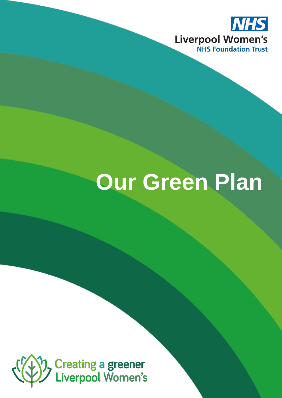

# **Our Green Plan**

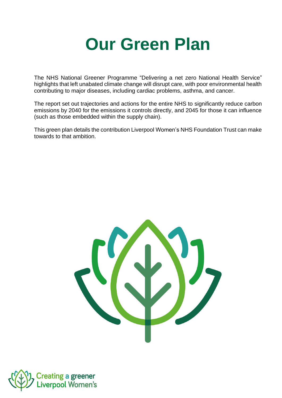

The NHS National Greener Programme "Delivering a net zero National Health Service" highlights that left unabated climate change will disrupt care, with poor environmental health contributing to major diseases, including cardiac problems, asthma, and cancer.

The report set out trajectories and actions for the entire NHS to significantly reduce carbon emissions by 2040 for the emissions it controls directly, and 2045 for those it can influence (such as those embedded within the supply chain).

This green plan details the contribution Liverpool Women's NHS Foundation Trust can make towards to that ambition.



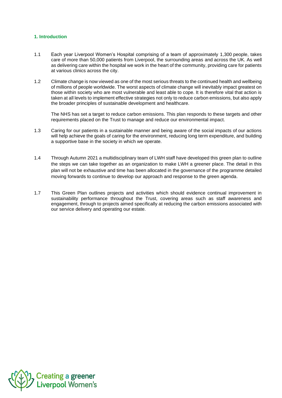#### **1. Introduction**

- 1.1 Each year Liverpool Women's Hospital comprising of a team of approximately 1,300 people, takes care of more than 50,000 patients from Liverpool, the surrounding areas and across the UK. As well as delivering care within the hospital we work in the heart of the community, providing care for patients at various clinics across the city.
- 1.2 Climate change is now viewed as one of the most serious threats to the continued health and wellbeing of millions of people worldwide. The worst aspects of climate change will inevitably impact greatest on those within society who are most vulnerable and least able to cope. It is therefore vital that action is taken at all levels to implement effective strategies not only to reduce carbon emissions, but also apply the broader principles of sustainable development and healthcare.

The NHS has set a target to reduce carbon emissions. This plan responds to these targets and other requirements placed on the Trust to manage and reduce our environmental impact.

- 1.3 Caring for our patients in a sustainable manner and being aware of the social impacts of our actions will help achieve the goals of caring for the environment, reducing long term expenditure, and building a supportive base in the society in which we operate.
- 1.4 Through Autumn 2021 a multidisciplinary team of LWH staff have developed this green plan to outline the steps we can take together as an organization to make LWH a greener place. The detail in this plan will not be exhaustive and time has been allocated in the governance of the programme detailed moving forwards to continue to develop our approach and response to the green agenda.
- 1.7 This Green Plan outlines projects and activities which should evidence continual improvement in sustainability performance throughout the Trust, covering areas such as staff awareness and engagement, through to projects aimed specifically at reducing the carbon emissions associated with our service delivery and operating our estate.

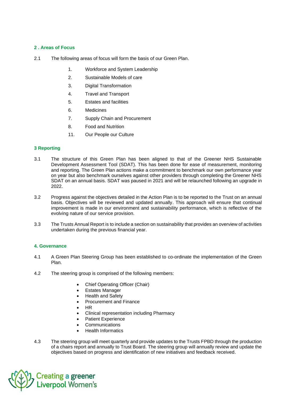## **2 . Areas of Focus**

- 2.1 The following areas of focus will form the basis of our Green Plan.
	- 1. Workforce and System Leadership
	- 2. Sustainable Models of care
	- 3. Digital Transformation
	- 4. Travel and Transport
	- 5. Estates and facilities
	- 6. Medicines
	- 7. Supply Chain and Procurement
	- 8. Food and Nutrition
	- 11. Our People our Culture

# **3 Reporting**

- 3.1 The structure of this Green Plan has been aligned to that of the Greener NHS Sustainable Development Assessment Tool (SDAT). This has been done for ease of measurement, monitoring and reporting. The Green Plan actions make a commitment to benchmark our own performance year on year but also benchmark ourselves against other providers through completing the Greener NHS SDAT on an annual basis. SDAT was paused in 2021 and will be relaunched following an upgrade in 2022.
- 3.2 Progress against the objectives detailed in the Action Plan is to be reported to the Trust on an annual basis. Objectives will be reviewed and updated annually. This approach will ensure that continual improvement is made in our environment and sustainability performance, which is reflective of the evolving nature of our service provision.
- 3.3 The Trusts Annual Report is to include a section on sustainability that provides an overview of activities undertaken during the previous financial year.

### **4. Governance**

- 4.1 A Green Plan Steering Group has been established to co-ordinate the implementation of the Green Plan.
- 4.2 The steering group is comprised of the following members:
	- Chief Operating Officer (Chair)
	- Estates Manager
	- Health and Safety
	- Procurement and Finance
	- HR
	- Clinical representation including Pharmacy
	- Patient Experience
	- **Communications**
	- Health Informatics
- 4.3 The steering group will meet quarterly and provide updates to the Trusts FPBD through the production of a chairs report and annually to Trust Board. The steering group will annually review and update the objectives based on progress and identification of new initiatives and feedback received.

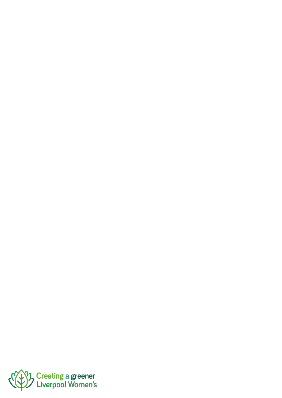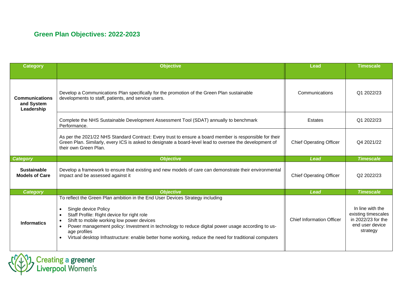# **Green Plan Objectives: 2022-2023**

**Creating a greener<br>Liverpool Women's** 

| <b>Category</b>                                   | <b>Objective</b>                                                                                                                                                                                                                            | Lead                           | <b>Timescale</b> |
|---------------------------------------------------|---------------------------------------------------------------------------------------------------------------------------------------------------------------------------------------------------------------------------------------------|--------------------------------|------------------|
| <b>Communications</b><br>and System<br>Leadership | Develop a Communications Plan specifically for the promotion of the Green Plan sustainable<br>developments to staff, patients, and service users.                                                                                           | Communications                 | Q1 2022/23       |
|                                                   | Complete the NHS Sustainable Development Assessment Tool (SDAT) annually to benchmark<br>Performance.                                                                                                                                       | Estates                        | Q1 2022/23       |
|                                                   | As per the 2021/22 NHS Standard Contract: Every trust to ensure a board member is responsible for their<br>Green Plan. Similarly, every ICS is asked to designate a board-level lead to oversee the development of<br>their own Green Plan. | <b>Chief Operating Officer</b> | Q4 2021/22       |
| Category                                          | <b>Objective</b>                                                                                                                                                                                                                            | Lead                           | <b>Timescale</b> |
|                                                   |                                                                                                                                                                                                                                             |                                |                  |
| <b>Sustainable</b><br><b>Models of Care</b>       | Develop a framework to ensure that existing and new models of care can demonstrate their environmental<br>impact and be assessed against it                                                                                                 | <b>Chief Operating Officer</b> | Q2 2022/23       |
| <b>Category</b>                                   | <b>Objective</b><br>To reflect the Green Plan ambition in the End User Devices Strategy including                                                                                                                                           | Lead                           | <b>Timescale</b> |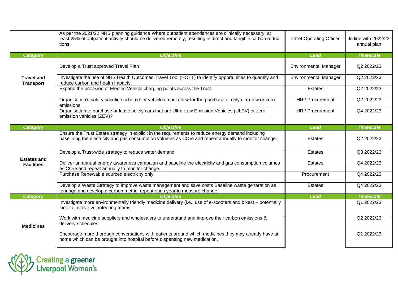|                                         | As per the 2021/22 NHS planning guidance Where outpatient attendances are clinically necessary, at<br>least 25% of outpatient activity should be delivered remotely, resulting in direct and tangible carbon reduc-<br>tions. | <b>Chief Operating Officer</b> | In line with 2022/23<br>annual plan |
|-----------------------------------------|-------------------------------------------------------------------------------------------------------------------------------------------------------------------------------------------------------------------------------|--------------------------------|-------------------------------------|
| <b>Category</b>                         | <b>Objective</b>                                                                                                                                                                                                              | Lead                           | <b>Timescale</b>                    |
| <b>Travel and</b><br><b>Transport</b>   | Develop a Trust approved Travel Plan                                                                                                                                                                                          | <b>Environmental Manager</b>   | Q2 2022/23                          |
|                                         | Investigate the use of NHS Health Outcomes Travel Tool (HOTT) to identify opportunities to quantify and<br>reduce carbon and health impacts                                                                                   | <b>Environmental Manager</b>   | Q2 2022/23                          |
|                                         | Expand the provision of Electric Vehicle charging points across the Trust                                                                                                                                                     | <b>Estates</b>                 | Q2 2022/23                          |
|                                         | Organisation's salary sacrifice scheme for vehicles must allow for the purchase of only ultra-low or zero<br>emissions                                                                                                        | HR / Procurement               | Q2 2022/23                          |
|                                         | Organisation to purchase or lease solely cars that are Ultra-Low Emission Vehicles (ULEV) or zero<br>emission vehicles (ZEV)?                                                                                                 | HR / Procurement               | Q4 2022/23                          |
| <b>Category</b>                         | <b>Objective</b>                                                                                                                                                                                                              | <b>Lead</b>                    | <b>Timescale</b>                    |
| <b>Estates and</b><br><b>Facilities</b> | Ensure the Trust Estate strategy in explicit in the requirements to reduce energy demand including<br>baselining the electricity and gas consumption volumes as CO <sub>2</sub> e and repeat annually to monitor change.      | <b>Estates</b>                 | Q2 2022/23                          |
|                                         | Develop a Trust-wide strategy to reduce water demand                                                                                                                                                                          | Estates                        | Q3 2022/23                          |
|                                         | Deliver an annual energy awareness campaign and baseline the electricity and gas consumption volumes<br>as CO <sub>2</sub> e and repeat annually to monitor change.                                                           | <b>Estates</b>                 | Q4 2022/23                          |
|                                         | Purchase Renewable sourced electricity only.                                                                                                                                                                                  | Procurement                    | Q4 2022/23                          |
|                                         | Develop a Waste Strategy to improve waste management and save costs Baseline waste generation as<br>tonnage and develop a carbon metric, repeat each year to measure change                                                   | Estates                        | Q4 2022/23                          |
| <b>Category</b>                         | <b>Objective</b>                                                                                                                                                                                                              | <b>Lead</b>                    | <b>Timescale</b>                    |
| <b>Medicines</b>                        | Investigate more environmentally friendly medicine delivery (i.e., use of e-scooters and bikes) – potentially<br>look to involve volunteering teams                                                                           |                                | Q1 2022/23                          |
|                                         | Work with medicine suppliers and wholesalers to understand and improve their carbon emissions &<br>delivery schedules.                                                                                                        |                                | Q2 2022/23                          |
|                                         | Encourage more thorough conversations with patients around which medicines they may already have at<br>home which can be brought into hospital before dispensing new medication.                                              |                                | Q1 2022/23                          |

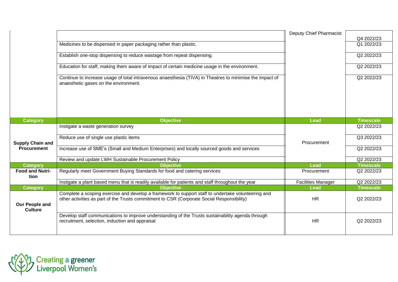|                                  |                                                                                                                                                                                                  | <b>Deputy Chief Pharmacist</b> |                  |
|----------------------------------|--------------------------------------------------------------------------------------------------------------------------------------------------------------------------------------------------|--------------------------------|------------------|
|                                  |                                                                                                                                                                                                  |                                | Q4 2022/23       |
|                                  | Medicines to be dispensed in paper packaging rather than plastic.                                                                                                                                |                                | Q1 2022/23       |
|                                  | Establish one-stop dispensing to reduce wastage from repeat dispensing.                                                                                                                          |                                | Q2 2022/23       |
|                                  | Education for staff, making them aware of impact of certain medicine usage in the environment.                                                                                                   |                                | Q2 2022/23       |
|                                  | Continue to increase usage of total intravenous anaesthesia (TIVA) in Theatres to minimise the impact of<br>anaesthetic gases on the environment.                                                |                                | Q2 2022/23       |
|                                  |                                                                                                                                                                                                  |                                |                  |
| <b>Category</b>                  | <b>Objective</b>                                                                                                                                                                                 | <b>Lead</b>                    | <b>Timescale</b> |
|                                  | Instigate a waste generation survey                                                                                                                                                              |                                | Q2 2022/23       |
| <b>Supply Chain and</b>          | Reduce use of single use plastic items                                                                                                                                                           | Procurement                    | Q3 2022/23       |
| <b>Procurement</b>               | Increase use of SME's (Small and Medium Enterprises) and locally sourced goods and services                                                                                                      |                                | Q2 2022/23       |
|                                  | Review and update LWH Sustainable Procurement Policy                                                                                                                                             |                                | Q2 2022/23       |
| <b>Category</b>                  | <b>Objective</b>                                                                                                                                                                                 | Lead                           | <b>Timescale</b> |
| <b>Food and Nutri-</b><br>tion   | Regularly meet Government Buying Standards for food and catering services                                                                                                                        | Procurement                    | Q2 2022/23       |
|                                  | Instigate a plant based menu that is readily available for patients and staff throughout the year                                                                                                | <b>Facilities Manager</b>      | Q2 2022/23       |
| <b>Category</b>                  | <b>Objective</b>                                                                                                                                                                                 | <b>Lead</b>                    | <b>Timescale</b> |
| Our People and<br><b>Culture</b> | Complete a scoping exercise and develop a framework to support staff to undertake volunteering and<br>other activities as part of the Trusts commitment to CSR (Corporate Social Responsibility) | <b>HR</b>                      | Q2 2022/23       |
|                                  | Develop staff communications to improve understanding of the Trusts sustainability agenda through<br>recruitment, selection, induction and appraisal                                             | HR                             | Q2 2022/23       |